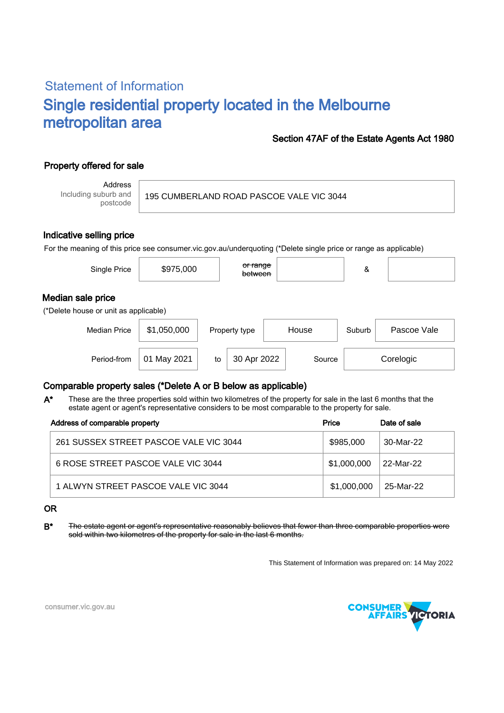## Statement of Information Single residential property located in the Melbourne metropolitan area

#### Section 47AF of the Estate Agents Act 1980

### Property offered for sale

Address Including suburb and postcode

195 CUMBERLAND ROAD PASCOE VALE VIC 3044

#### Indicative selling price

For the meaning of this price see consumer.vic.gov.au/underquoting (\*Delete single price or range as applicable)

| Single Price                                               | \$975,000      |    | or range<br>between |  |        | &      |             |
|------------------------------------------------------------|----------------|----|---------------------|--|--------|--------|-------------|
| Median sale price<br>(*Delete house or unit as applicable) |                |    |                     |  |        |        |             |
| <b>Median Price</b>                                        | \$1,050,000    |    | Property type       |  | House  | Suburb | Pascoe Vale |
| Period-from                                                | May 2021<br>01 | to | 30 Apr 2022         |  | Source |        | Corelogic   |

#### Comparable property sales (\*Delete A or B below as applicable)

These are the three properties sold within two kilometres of the property for sale in the last 6 months that the estate agent or agent's representative considers to be most comparable to the property for sale. A\*

| Address of comparable property         | Price       | Date of sale |
|----------------------------------------|-------------|--------------|
| 261 SUSSEX STREET PASCOE VALE VIC 3044 | \$985,000   | 30-Mar-22    |
| 6 ROSE STREET PASCOE VALE VIC 3044     | \$1,000,000 | 22-Mar-22    |
| 1 ALWYN STREET PASCOE VALE VIC 3044    | \$1,000,000 | 25-Mar-22    |

OR

B<sup>\*</sup> The estate agent or agent's representative reasonably believes that fewer than three comparable properties were sold within two kilometres of the property for sale in the last 6 months.

This Statement of Information was prepared on: 14 May 2022



consumer.vic.gov.au